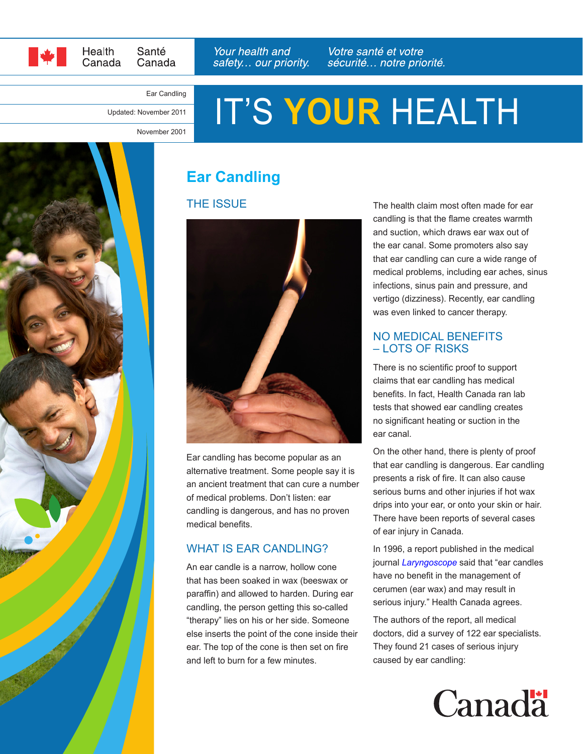

Santé Health Canada Canada Your health and safety... our priority. Votre santé et votre sécurité... notre priorité.

#### Ear Candling

Updated: November 2011

# IT'S **YOUR** HEALTH

November 2001



## **Ear Candling**

#### THE ISSUE



Ear candling has become popular as an alternative treatment. Some people say it is an ancient treatment that can cure a number of medical problems. Don't listen: ear candling is dangerous, and has no proven medical benefits.

#### WHAT IS EAR CANDLING?

An ear candle is a narrow, hollow cone that has been soaked in wax (beeswax or paraffin) and allowed to harden. During ear candling, the person getting this so-called "therapy" lies on his or her side. Someone else inserts the point of the cone inside their ear. The top of the cone is then set on fire and left to burn for a few minutes.

The health claim most often made for ear candling is that the flame creates warmth and suction, which draws ear wax out of the ear canal. Some promoters also say that ear candling can cure a wide range of medical problems, including ear aches, sinus infections, sinus pain and pressure, and vertigo (dizziness). Recently, ear candling was even linked to cancer therapy.

#### NO MEDICAL BENEFITS – LOTS OF RISKS

There is no scientific proof to support claims that ear candling has medical benefits. In fact, Health Canada ran lab tests that showed ear candling creates no significant heating or suction in the ear canal.

On the other hand, there is plenty of proof that ear candling is dangerous. Ear candling presents a risk of fire. It can also cause serious burns and other injuries if hot wax drips into your ear, or onto your skin or hair. There have been reports of several cases of ear injury in Canada.

In 1996, a report published in the medical journal *[Laryngoscope](http://www.ncbi.nlm.nih.gov/pubmed/8849790)* said that "ear candles have no benefit in the management of cerumen (ear wax) and may result in serious injury." Health Canada agrees.

The authors of the report, all medical doctors, did a survey of 122 ear specialists. They found 21 cases of serious injury caused by ear candling: